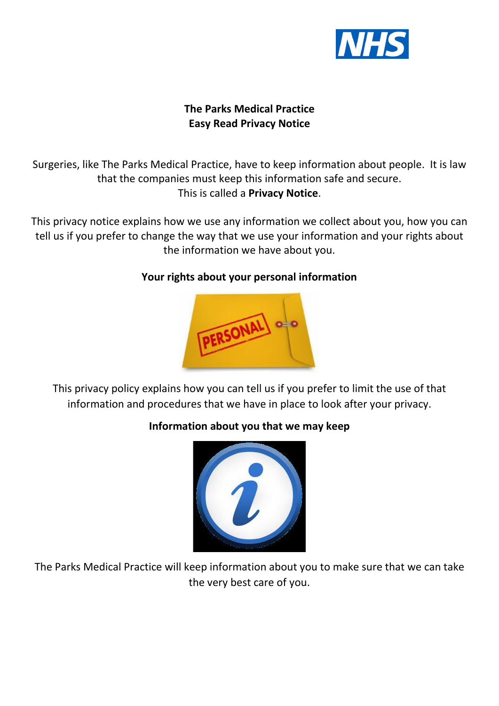

# **The Parks Medical Practice Easy Read Privacy Notice**

Surgeries, like The Parks Medical Practice, have to keep information about people. It is law that the companies must keep this information safe and secure. This is called a **Privacy Notice**.

This privacy notice explains how we use any information we collect about you, how you can tell us if you prefer to change the way that we use your information and your rights about the information we have about you.

#### **Your rights about your personal information**



This privacy policy explains how you can tell us if you prefer to limit the use of that information and procedures that we have in place to look after your privacy.

# **Information about you that we may keep**



The Parks Medical Practice will keep information about you to make sure that we can take the very best care of you.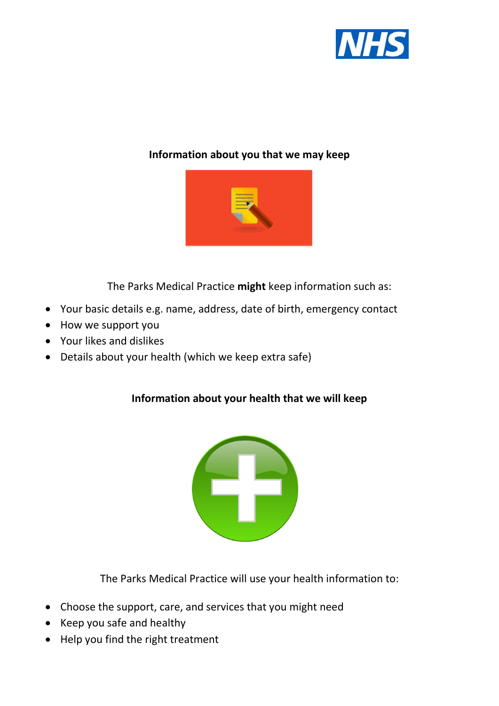

#### **Information about you that we may keep**



The Parks Medical Practice **might** keep information such as:

- Your basic details e.g. name, address, date of birth, emergency contact
- How we support you
- Your likes and dislikes
- Details about your health (which we keep extra safe)

# **Information about your health that we will keep**



The Parks Medical Practice will use your health information to:

- Choose the support, care, and services that you might need
- Keep you safe and healthy
- Help you find the right treatment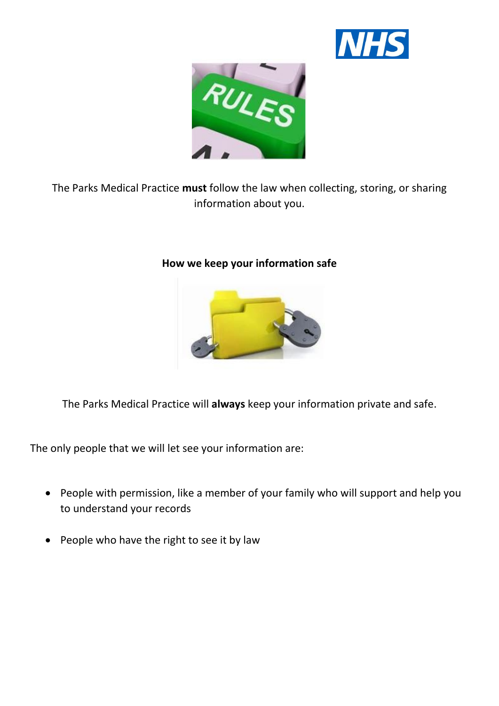



The Parks Medical Practice **must** follow the law when collecting, storing, or sharing information about you.

# **How we keep your information safe**



The Parks Medical Practice will **always** keep your information private and safe.

The only people that we will let see your information are:

- People with permission, like a member of your family who will support and help you to understand your records
- People who have the right to see it by law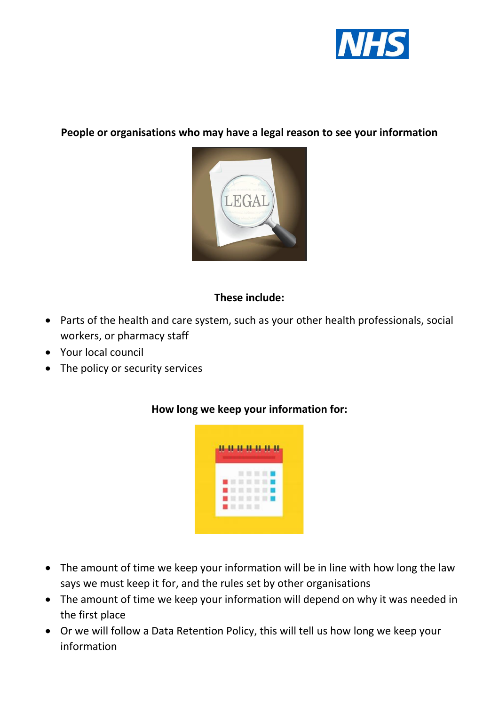

#### **People or organisations who may have a legal reason to see your information**



# **These include:**

- Parts of the health and care system, such as your other health professionals, social workers, or pharmacy staff
- Your local council
- The policy or security services



# **How long we keep your information for:**

- The amount of time we keep your information will be in line with how long the law says we must keep it for, and the rules set by other organisations
- The amount of time we keep your information will depend on why it was needed in the first place
- Or we will follow a Data Retention Policy, this will tell us how long we keep your information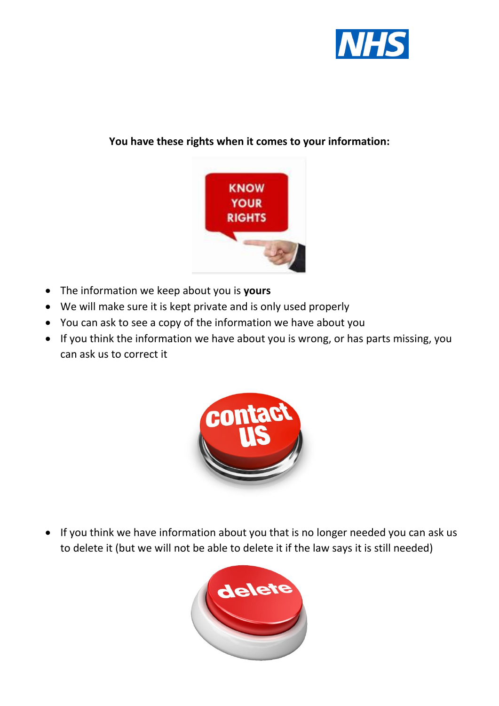

# **You have these rights when it comes to your information:**



- The information we keep about you is **yours**
- We will make sure it is kept private and is only used properly
- You can ask to see a copy of the information we have about you
- If you think the information we have about you is wrong, or has parts missing, you can ask us to correct it



• If you think we have information about you that is no longer needed you can ask us to delete it (but we will not be able to delete it if the law says it is still needed)